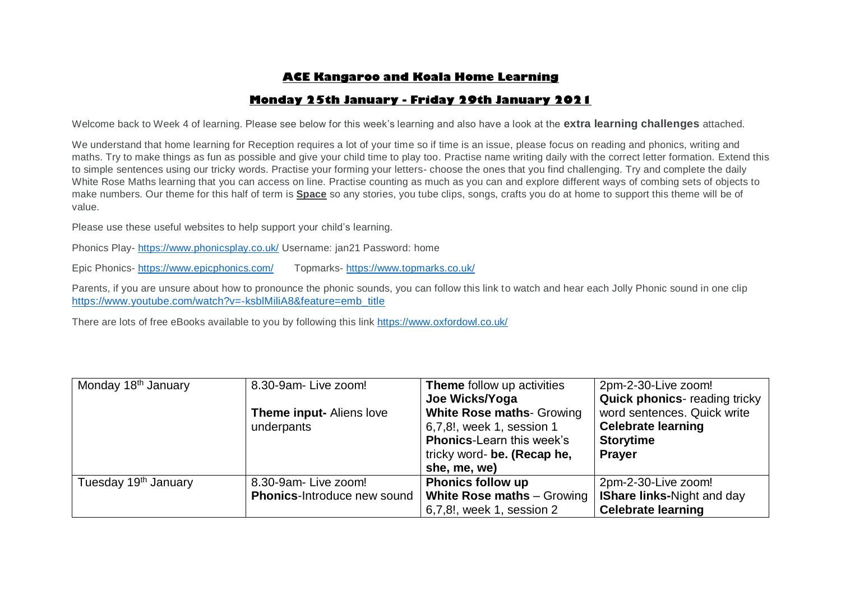# **ACE Kangaroo and Koala Home Learning**

## **Monday 25th January - Friday 29th January 2021**

Welcome back to Week 4 of learning. Please see below for this week's learning and also have a look at the **extra learning challenges** attached.

We understand that home learning for Reception requires a lot of your time so if time is an issue, please focus on reading and phonics, writing and maths. Try to make things as fun as possible and give your child time to play too. Practise name writing daily with the correct letter formation. Extend this to simple sentences using our tricky words. Practise your forming your letters- choose the ones that you find challenging. Try and complete the daily White Rose Maths learning that you can access on line. Practise counting as much as you can and explore different ways of combing sets of objects to make numbers. Our theme for this half of term is **Space** so any stories, you tube clips, songs, crafts you do at home to support this theme will be of value.

Please use these useful websites to help support your child's learning.

Phonics Play- <https://www.phonicsplay.co.uk/> Username: jan21 Password: home

Epic Phonics- <https://www.epicphonics.com/>Topmarks- <https://www.topmarks.co.uk/>

Parents, if you are unsure about how to pronounce the phonic sounds, you can follow this link to watch and hear each Jolly Phonic sound in one clip [https://www.youtube.com/watch?v=-ksblMiliA8&feature=emb\\_title](https://www.youtube.com/watch?v=-ksblMiliA8&feature=emb_title)

There are lots of free eBooks available to you by following this link<https://www.oxfordowl.co.uk/>

| Monday 18 <sup>th</sup> January  | 8.30-9am-Live zoom!                | <b>Theme</b> follow up activities | 2pm-2-30-Live zoom!                 |
|----------------------------------|------------------------------------|-----------------------------------|-------------------------------------|
|                                  |                                    | Joe Wicks/Yoga                    | <b>Quick phonics-reading tricky</b> |
|                                  | <b>Theme input-Aliens love</b>     | <b>White Rose maths- Growing</b>  | word sentences. Quick write         |
|                                  | underpants                         | 6,7,8!, week 1, session 1         | <b>Celebrate learning</b>           |
|                                  |                                    | <b>Phonics-Learn this week's</b>  | <b>Storytime</b>                    |
|                                  |                                    | tricky word- be. (Recap he,       | <b>Prayer</b>                       |
|                                  |                                    | she, me, we)                      |                                     |
| Tuesday 19 <sup>th</sup> January | 8.30-9am-Live zoom!                | <b>Phonics follow up</b>          | 2pm-2-30-Live zoom!                 |
|                                  | <b>Phonics-Introduce new sound</b> | White Rose maths $-$ Growing      | <b>IShare links-Night and day</b>   |
|                                  |                                    | 6,7,8!, week 1, session 2         | <b>Celebrate learning</b>           |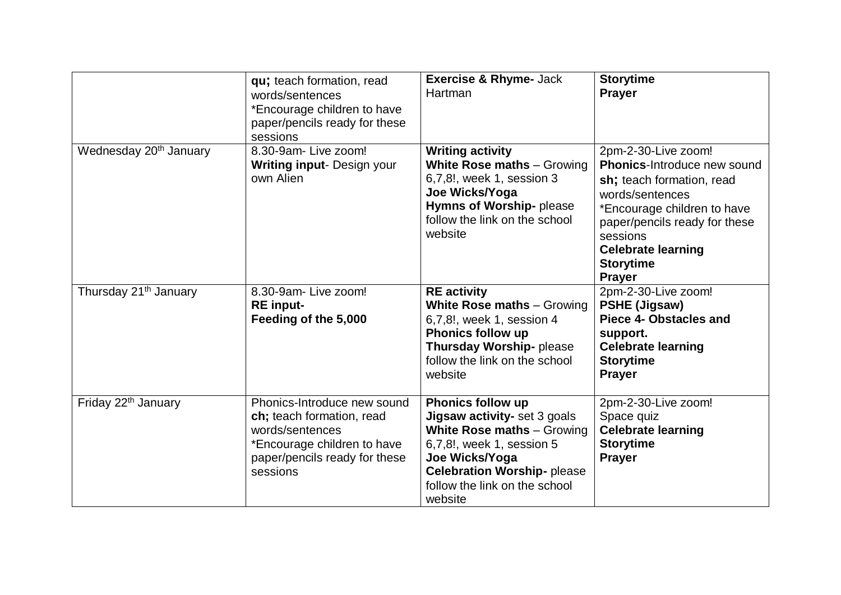|                                    | qu; teach formation, read<br>words/sentences<br>*Encourage children to have<br>paper/pencils ready for these<br>sessions                                | <b>Exercise &amp; Rhyme- Jack</b><br>Hartman                                                                                                                                                                           | <b>Storytime</b><br><b>Prayer</b>                                                                                                                                                                                                                |
|------------------------------------|---------------------------------------------------------------------------------------------------------------------------------------------------------|------------------------------------------------------------------------------------------------------------------------------------------------------------------------------------------------------------------------|--------------------------------------------------------------------------------------------------------------------------------------------------------------------------------------------------------------------------------------------------|
| Wednesday 20 <sup>th</sup> January | 8.30-9am-Live zoom!<br><b>Writing input- Design your</b><br>own Alien                                                                                   | <b>Writing activity</b><br><b>White Rose maths - Growing</b><br>6,7,8!, week 1, session 3<br>Joe Wicks/Yoga<br>Hymns of Worship-please<br>follow the link on the school<br>website                                     | 2pm-2-30-Live zoom!<br>Phonics-Introduce new sound<br>sh; teach formation, read<br>words/sentences<br>*Encourage children to have<br>paper/pencils ready for these<br>sessions<br><b>Celebrate learning</b><br><b>Storytime</b><br><b>Prayer</b> |
| Thursday 21 <sup>th</sup> January  | 8.30-9am-Live zoom!<br><b>RE</b> input-<br>Feeding of the 5,000                                                                                         | <b>RE</b> activity<br>White Rose maths - Growing<br>6,7,8!, week 1, session 4<br><b>Phonics follow up</b><br>Thursday Worship-please<br>follow the link on the school<br>website                                       | 2pm-2-30-Live zoom!<br>PSHE (Jigsaw)<br><b>Piece 4- Obstacles and</b><br>support.<br><b>Celebrate learning</b><br><b>Storytime</b><br><b>Prayer</b>                                                                                              |
| Friday 22 <sup>th</sup> January    | Phonics-Introduce new sound<br>ch; teach formation, read<br>words/sentences<br>*Encourage children to have<br>paper/pencils ready for these<br>sessions | Phonics follow up<br>Jigsaw activity- set 3 goals<br><b>White Rose maths - Growing</b><br>6,7,8!, week 1, session 5<br>Joe Wicks/Yoga<br><b>Celebration Worship-please</b><br>follow the link on the school<br>website | 2pm-2-30-Live zoom!<br>Space quiz<br><b>Celebrate learning</b><br><b>Storytime</b><br><b>Prayer</b>                                                                                                                                              |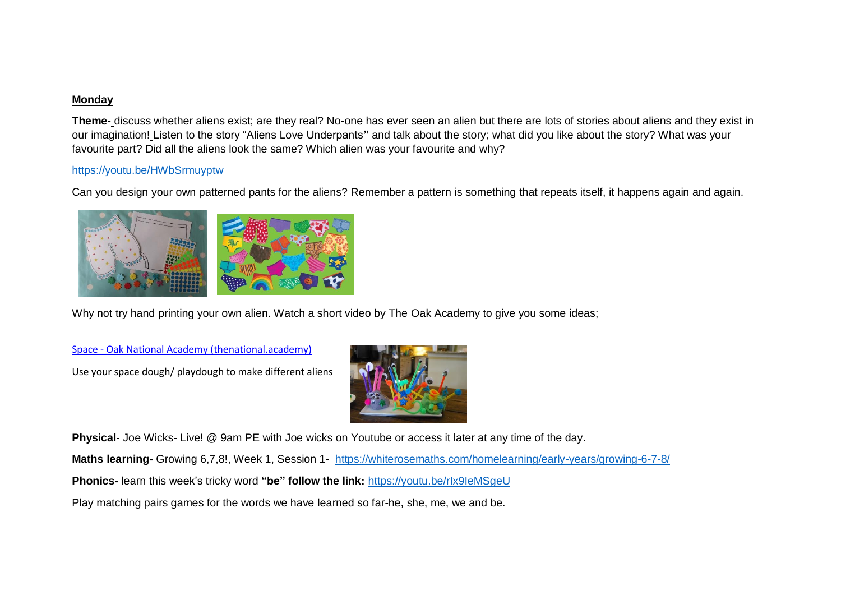### **Monday**

**Theme**- discuss whether aliens exist; are they real? No-one has ever seen an alien but there are lots of stories about aliens and they exist in our imagination! Listen to the story "Aliens Love Underpants**"** and talk about the story; what did you like about the story? What was your favourite part? Did all the aliens look the same? Which alien was your favourite and why?

### <https://youtu.be/HWbSrmuyptw>

Can you design your own patterned pants for the aliens? Remember a pattern is something that repeats itself, it happens again and again.



Why not try hand printing your own alien. Watch a short video by The Oak Academy to give you some ideas;

Space - [Oak National Academy \(thenational.academy\)](https://classroom.thenational.academy/units/space-7230)

Use your space dough/ playdough to make different aliens



**Physical**- Joe Wicks- Live! @ 9am PE with Joe wicks on Youtube or access it later at any time of the day.

**Maths learning-** Growing 6,7,8!, Week 1, Session 1- <https://whiterosemaths.com/homelearning/early-years/growing-6-7-8/>

**Phonics-** learn this week's tricky word **"be" follow the link:** <https://youtu.be/rIx9IeMSgeU>

Play matching pairs games for the words we have learned so far-he, she, me, we and be.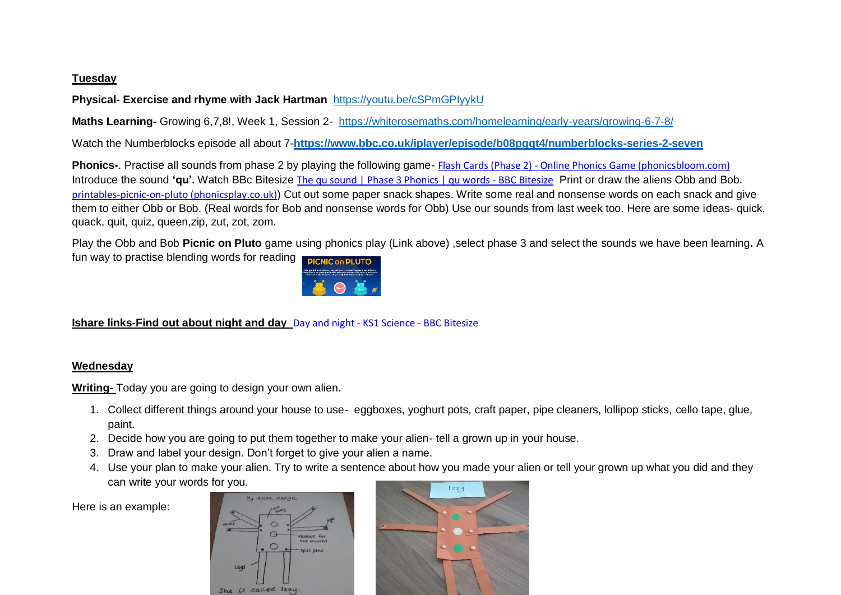### **Tuesday**

## **Physical- Exercise and rhyme with Jack Hartman** <https://youtu.be/cSPmGPIyykU>

**Maths Learning-** Growing 6,7,8!, Week 1, Session 2- <https://whiterosemaths.com/homelearning/early-years/growing-6-7-8/>

Watch the Numberblocks episode all about 7-**<https://www.bbc.co.uk/iplayer/episode/b08pgqt4/numberblocks-series-2-seven>**

**Phonics-**. Practise all sounds from phase 2 by playing the following game- Flash Cards (Phase 2) - [Online Phonics Game \(phonicsbloom.com\)](https://www.phonicsbloom.com/uk/game/flash-cards?phase=2) Introduce the sound 'qu'. Watch BBc Bitesize [The qu sound | Phase 3 Phonics | qu words -](https://www.bbc.co.uk/bitesize/topics/zvq9bdm/articles/zrqtqp3) BBC Bitesize Print or draw the aliens Obb and Bob. [printables-picnic-on-pluto \(phonicsplay.co.uk\)](https://www.phonicsplay.co.uk/assets/resources/public/pdfs/printables-picnic-on-pluto.pdf)) Cut out some paper snack shapes. Write some real and nonsense words on each snack and give them to either Obb or Bob. (Real words for Bob and nonsense words for Obb) Use our sounds from last week too. Here are some ideas- quick, quack, quit, quiz, queen,zip, zut, zot, zom.

Play the Obb and Bob **Picnic on Pluto** game using phonics play (Link above) ,select phase 3 and select the sounds we have been learning**.** A fun way to practise blending words for reading



### **Ishare links-Find out about night and day** Day and night - [KS1 Science -](https://www.bbc.co.uk/bitesize/clips/zxcxnbk) BBC Bitesize

#### **Wednesday**

**Writing-** Today you are going to design your own alien.

- 1. Collect different things around your house to use- eggboxes, yoghurt pots, craft paper, pipe cleaners, lollipop sticks, cello tape, glue, paint.
- 2. Decide how you are going to put them together to make your alien- tell a grown up in your house.
- 3. Draw and label your design. Don't forget to give your alien a name.
- 4. Use your plan to make your alien. Try to write a sentence about how you made your alien or tell your grown up what you did and they can write your words for you.

Here is an example:



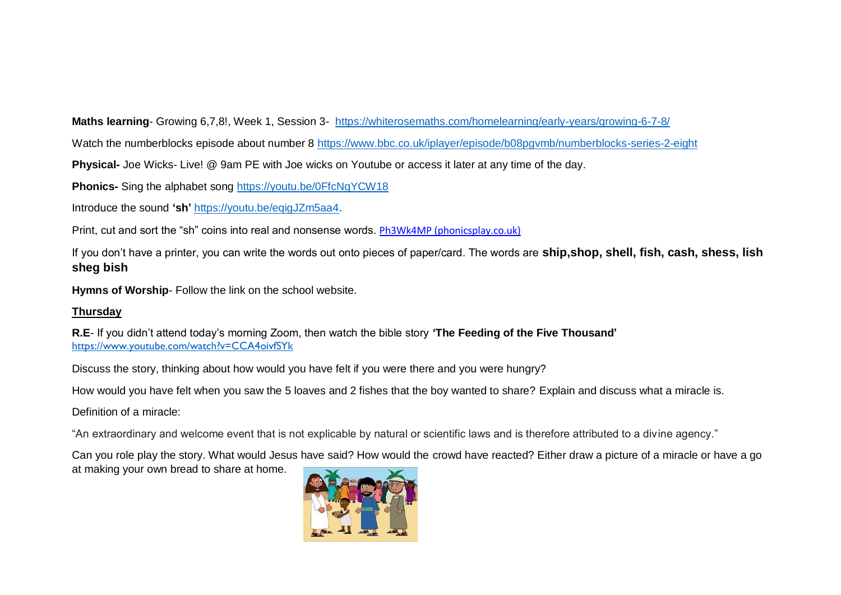**Maths learning**- Growing 6,7,8!, Week 1, Session 3- <https://whiterosemaths.com/homelearning/early-years/growing-6-7-8/>

Watch the numberblocks episode about number 8<https://www.bbc.co.uk/iplayer/episode/b08pgvmb/numberblocks-series-2-eight>

**Physical-** Joe Wicks- Live! @ 9am PE with Joe wicks on Youtube or access it later at any time of the day.

**Phonics-** Sing the alphabet song <https://youtu.be/0FfcNgYCW18>

Introduce the sound **'sh'** [https://youtu.be/eqigJZm5aa4.](https://youtu.be/eqigJZm5aa4)

Print, cut and sort the "sh" coins into real and nonsense words. [Ph3Wk4MP \(phonicsplay.co.uk\)](https://www.phonicsplay.co.uk/assets/resources/secure/pdfs/planning/Ph3Wk4MP.pdf)

If you don't have a printer, you can write the words out onto pieces of paper/card. The words are **ship,shop, shell, fish, cash, shess, lish sheg bish**

**Hymns of Worship**- Follow the link on the school website.

## **Thursday**

**R.E**- If you didn't attend today's morning Zoom, then watch the bible story **'The Feeding of the Five Thousand'** <https://www.youtube.com/watch?v=CCA4oivfSYk>

Discuss the story, thinking about how would you have felt if you were there and you were hungry?

How would you have felt when you saw the 5 loaves and 2 fishes that the boy wanted to share? Explain and discuss what a miracle is.

Definition of a miracle:

"An extraordinary and welcome event that is not explicable by natural or scientific laws and is therefore attributed to a divine agency."

Can you role play the story. What would Jesus have said? How would the crowd have reacted? Either draw a picture of a miracle or have a go at making your own bread to share at home.

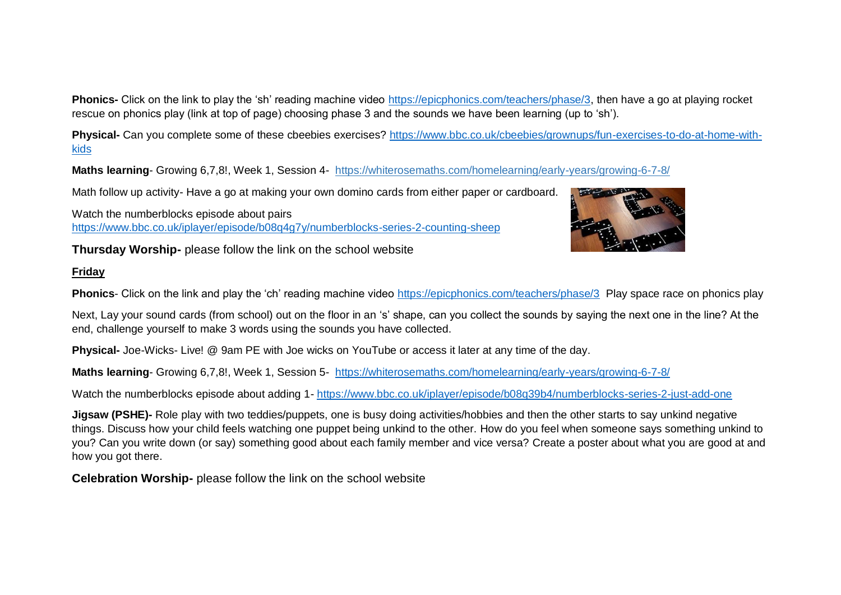**Phonics-** Click on the link to play the 'sh' reading machine video [https://epicphonics.com/teachers/phase/3,](https://epicphonics.com/teachers/phase/3) then have a go at playing rocket rescue on phonics play (link at top of page) choosing phase 3 and the sounds we have been learning (up to 'sh').

**Physical-** Can you complete some of these cbeebies exercises? [https://www.bbc.co.uk/cbeebies/grownups/fun-exercises-to-do-at-home-with](https://www.bbc.co.uk/cbeebies/grownups/fun-exercises-to-do-at-home-with-kids)[kids](https://www.bbc.co.uk/cbeebies/grownups/fun-exercises-to-do-at-home-with-kids)

**Maths learning**- Growing 6,7,8!, Week 1, Session 4- <https://whiterosemaths.com/homelearning/early-years/growing-6-7-8/>

Math follow up activity- Have a go at making your own domino cards from either paper or cardboard.

Watch the numberblocks episode about pairs <https://www.bbc.co.uk/iplayer/episode/b08q4g7y/numberblocks-series-2-counting-sheep>

**Thursday Worship-** please follow the link on the school website

## **Friday**

**Phonics**- Click on the link and play the 'ch' reading machine video <https://epicphonics.com/teachers/phase/3> Play space race on phonics play

Next, Lay your sound cards (from school) out on the floor in an 's' shape, can you collect the sounds by saying the next one in the line? At the end, challenge yourself to make 3 words using the sounds you have collected.

**Physical-** Joe-Wicks- Live! @ 9am PE with Joe wicks on YouTube or access it later at any time of the day.

**Maths learning**- Growing 6,7,8!, Week 1, Session 5- <https://whiterosemaths.com/homelearning/early-years/growing-6-7-8/>

Watch the numberblocks episode about adding 1- <https://www.bbc.co.uk/iplayer/episode/b08q39b4/numberblocks-series-2-just-add-one>

**Jigsaw (PSHE)-** Role play with two teddies/puppets, one is busy doing activities/hobbies and then the other starts to say unkind negative things. Discuss how your child feels watching one puppet being unkind to the other. How do you feel when someone says something unkind to you? Can you write down (or say) something good about each family member and vice versa? Create a poster about what you are good at and how you got there.

**Celebration Worship-** please follow the link on the school website